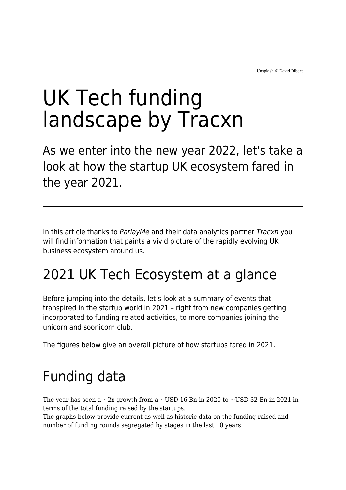# UK Tech funding landscape by Tracxn

As we enter into the new year 2022, let's take a look at how the startup UK ecosystem fared in the year 2021.

In this article thanks to **[ParlayMe](https://www.parlayme.com/)** and their data analytics partner **[Tracxn](https://tracxn.com/)** you will find information that paints a vivid picture of the rapidly evolving UK business ecosystem around us.

#### 2021 UK Tech Ecosystem at a glance

Before jumping into the details, let's look at a summary of events that transpired in the startup world in 2021 – right from new companies getting incorporated to funding related activities, to more companies joining the unicorn and soonicorn club.

The figures below give an overall picture of how startups fared in 2021.

## Funding data

The year has seen a  $\sim$ 2x growth from a  $\sim$ USD 16 Bn in 2020 to  $\sim$ USD 32 Bn in 2021 in terms of the total funding raised by the startups.

The graphs below provide current as well as historic data on the funding raised and number of funding rounds segregated by stages in the last 10 years.